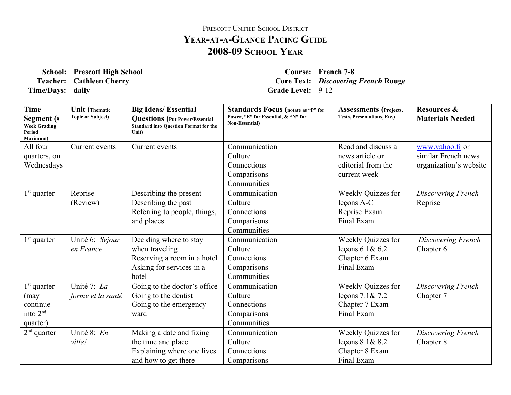## PRESCOTT UNIFIED SCHOOL DISTRICT **YEARATAGLANCE PACING GUIDE 200809 SCHOOL YEAR**

**School: Prescott High School Course: French 78 Time/Days:** daily **Grade** Level: 9-12

**Teacher: Cathleen Cherry Core Text:** *Discovering French* **Rouge**

| <b>Time</b><br>Segment (9<br><b>Week Grading</b><br>Period<br>Maximum) | <b>Unit</b> (Thematic<br><b>Topic or Subject)</b> | <b>Big Ideas/ Essential</b><br><b>Questions</b> (Put Power/Essential<br><b>Standard into Question Format for the</b><br>Unit) | <b>Standards Focus</b> (notate as "P" for<br>Power, "E" for Essential, & "N" for<br>Non-Essential) | <b>Assessments</b> (Projects,<br><b>Tests, Presentations, Etc.)</b> | <b>Resources &amp;</b><br><b>Materials Needed</b> |
|------------------------------------------------------------------------|---------------------------------------------------|-------------------------------------------------------------------------------------------------------------------------------|----------------------------------------------------------------------------------------------------|---------------------------------------------------------------------|---------------------------------------------------|
| All four                                                               | Current events                                    | Current events                                                                                                                | Communication                                                                                      | Read and discuss a                                                  | www.yahoo.fr or                                   |
| quarters, on                                                           |                                                   |                                                                                                                               | Culture                                                                                            | news article or                                                     | similar French news                               |
| Wednesdays                                                             |                                                   |                                                                                                                               | Connections                                                                                        | editorial from the                                                  | organization's website                            |
|                                                                        |                                                   |                                                                                                                               | Comparisons                                                                                        | current week                                                        |                                                   |
|                                                                        |                                                   |                                                                                                                               | Communities                                                                                        |                                                                     |                                                   |
| $1st$ quarter                                                          | Reprise                                           | Describing the present                                                                                                        | Communication                                                                                      | Weekly Quizzes for                                                  | Discovering French                                |
|                                                                        | (Review)                                          | Describing the past                                                                                                           | Culture                                                                                            | leçons A-C                                                          | Reprise                                           |
|                                                                        |                                                   | Referring to people, things,                                                                                                  | Connections                                                                                        | Reprise Exam                                                        |                                                   |
|                                                                        |                                                   | and places                                                                                                                    | Comparisons                                                                                        | Final Exam                                                          |                                                   |
|                                                                        |                                                   |                                                                                                                               | Communities                                                                                        |                                                                     |                                                   |
| $1st$ quarter                                                          | Unité 6: Séjour                                   | Deciding where to stay                                                                                                        | Communication                                                                                      | Weekly Quizzes for                                                  | Discovering French                                |
|                                                                        | en France                                         | when traveling                                                                                                                | Culture                                                                                            | leçons $6.1& 6.2$                                                   | Chapter 6                                         |
|                                                                        |                                                   | Reserving a room in a hotel                                                                                                   | Connections                                                                                        | Chapter 6 Exam                                                      |                                                   |
|                                                                        |                                                   | Asking for services in a                                                                                                      | Comparisons                                                                                        | Final Exam                                                          |                                                   |
|                                                                        |                                                   | hotel                                                                                                                         | Communities                                                                                        |                                                                     |                                                   |
| $1st$ quarter                                                          | Unité 7: La                                       | Going to the doctor's office                                                                                                  | Communication                                                                                      | Weekly Quizzes for                                                  | Discovering French                                |
| (may                                                                   | forme et la santé                                 | Going to the dentist                                                                                                          | Culture                                                                                            | leçons 7.1& 7.2                                                     | Chapter 7                                         |
| continue                                                               |                                                   | Going to the emergency                                                                                                        | Connections                                                                                        | Chapter 7 Exam                                                      |                                                   |
| into 2 <sup>nd</sup>                                                   |                                                   | ward                                                                                                                          | Comparisons                                                                                        | Final Exam                                                          |                                                   |
| quarter)                                                               |                                                   |                                                                                                                               | Communities                                                                                        |                                                                     |                                                   |
| $2nd$ quarter                                                          | Unité 8: En                                       | Making a date and fixing                                                                                                      | Communication                                                                                      | Weekly Quizzes for                                                  | Discovering French                                |
|                                                                        | ville!                                            | the time and place                                                                                                            | Culture                                                                                            | leçons $8.1\& 8.2$                                                  | Chapter 8                                         |
|                                                                        |                                                   | Explaining where one lives                                                                                                    | Connections                                                                                        | Chapter 8 Exam                                                      |                                                   |
|                                                                        |                                                   | and how to get there                                                                                                          | Comparisons                                                                                        | Final Exam                                                          |                                                   |